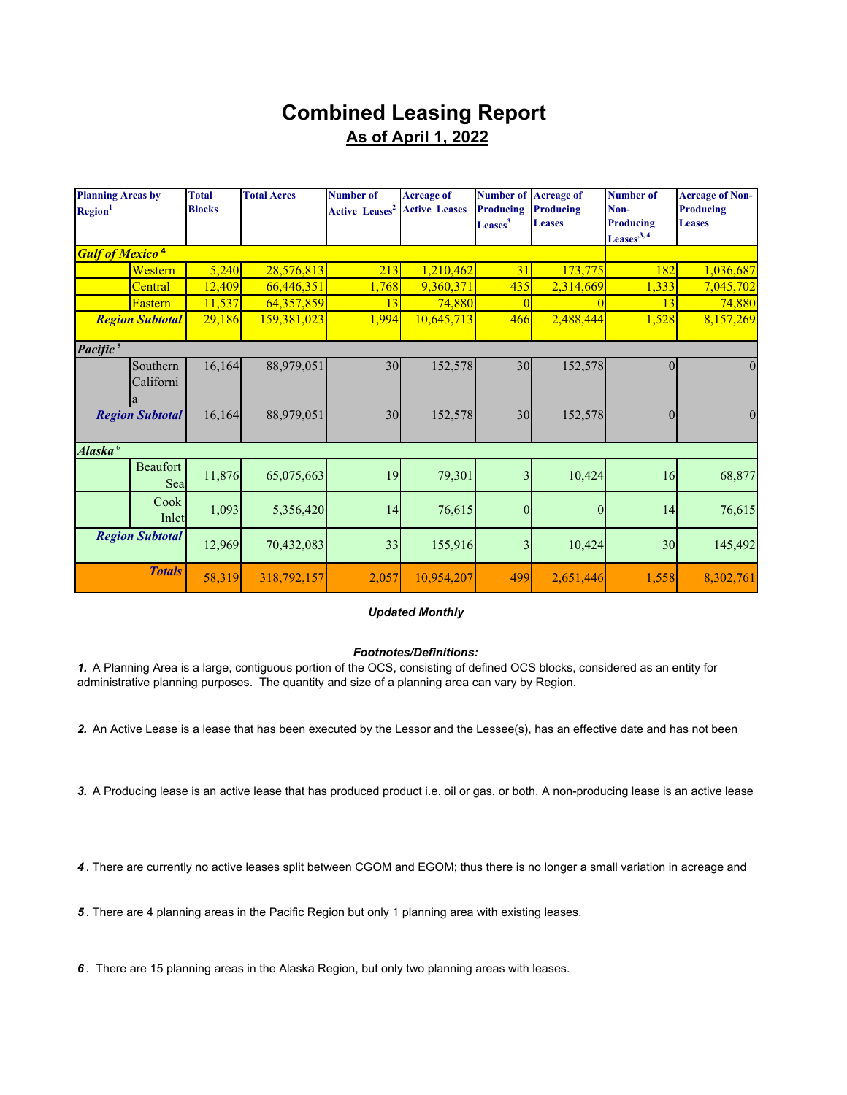## **Combined Leasing Report As of April 1, 2022**

| <b>Planning Areas by</b><br>Region <sup>1</sup> |                        | <b>Total</b><br><b>Blocks</b> | <b>Total Acres</b> | <b>Number of</b><br><b>Active Leases<sup>2</sup></b> | <b>Acreage of</b><br><b>Active Leases</b> | <b>Number of Acreage of</b><br><b>Producing</b><br>Leases <sup>3</sup> | <b>Producing</b><br><b>Leases</b> | <b>Number of</b><br>Non-<br><b>Producing</b><br>Leases <sup>3,4</sup> | <b>Acreage of Non-</b><br>Producing<br><b>Leases</b> |
|-------------------------------------------------|------------------------|-------------------------------|--------------------|------------------------------------------------------|-------------------------------------------|------------------------------------------------------------------------|-----------------------------------|-----------------------------------------------------------------------|------------------------------------------------------|
| <b>Gulf of Mexico<sup>4</sup></b>               |                        |                               |                    |                                                      |                                           |                                                                        |                                   |                                                                       |                                                      |
|                                                 | Western                | 5,240                         | 28,576,813         | 213                                                  | 1,210,462                                 | 31                                                                     | 173,775                           | 182                                                                   | 1,036,687                                            |
|                                                 | Central                | 12,409                        | 66,446,351         | 1,768                                                | 9,360,371                                 | 435                                                                    | 2,314,669                         | 1,333                                                                 | 7,045,702                                            |
|                                                 | Eastern                | 11,537                        | 64,357,859         | 13                                                   | 74,880                                    |                                                                        |                                   | 13                                                                    | 74,880                                               |
|                                                 | <b>Region Subtotal</b> | 29,186                        | 159,381,023        | 1,994                                                | 10,645,713                                | 466                                                                    | 2,488,444                         | 1,528                                                                 | 8,157,269                                            |
| Pacific <sup>5</sup>                            |                        |                               |                    |                                                      |                                           |                                                                        |                                   |                                                                       |                                                      |
|                                                 | Southern<br>Californi  | 16,164                        | 88,979,051         | 30                                                   | 152,578                                   | 30                                                                     | 152,578                           | $\Omega$                                                              |                                                      |
|                                                 | <b>Region Subtotal</b> | 16,164                        | 88,979,051         | 30                                                   | 152,578                                   | 30                                                                     | 152,578                           | $\Omega$                                                              | $\theta$                                             |
| Alaska <sup>6</sup>                             |                        |                               |                    |                                                      |                                           |                                                                        |                                   |                                                                       |                                                      |
|                                                 | <b>Beaufort</b><br>Sea | 11,876                        | 65,075,663         | 19                                                   | 79,301                                    | 3                                                                      | 10,424                            | 16                                                                    | 68,877                                               |
|                                                 | Cook<br>Inlet          | 1,093                         | 5,356,420          | 14                                                   | 76,615                                    | $\overline{0}$                                                         | $\theta$                          | 14                                                                    | 76,615                                               |
|                                                 | <b>Region Subtotal</b> | 12,969                        | 70,432,083         | 33                                                   | 155,916                                   | 3                                                                      | 10,424                            | 30                                                                    | 145,492                                              |
|                                                 | <b>Totals</b>          | 58,319                        | 318,792,157        | 2,057                                                | 10,954,207                                | 499                                                                    | 2,651,446                         | 1,558                                                                 | 8,302,761                                            |

## *Updated Monthly*

## *Footnotes/Definitions:*

*1.* A Planning Area is a large, contiguous portion of the OCS, consisting of defined OCS blocks, considered as an entity for administrative planning purposes. The quantity and size of a planning area can vary by Region.

*2.* An Active Lease is a lease that has been executed by the Lessor and the Lessee(s), has an effective date and has not been

*3.* A Producing lease is an active lease that has produced product i.e. oil or gas, or both. A non-producing lease is an active lease

*4* . There are currently no active leases split between CGOM and EGOM; thus there is no longer a small variation in acreage and

*5* . There are 4 planning areas in the Pacific Region but only 1 planning area with existing leases.

*6* . There are 15 planning areas in the Alaska Region, but only two planning areas with leases.